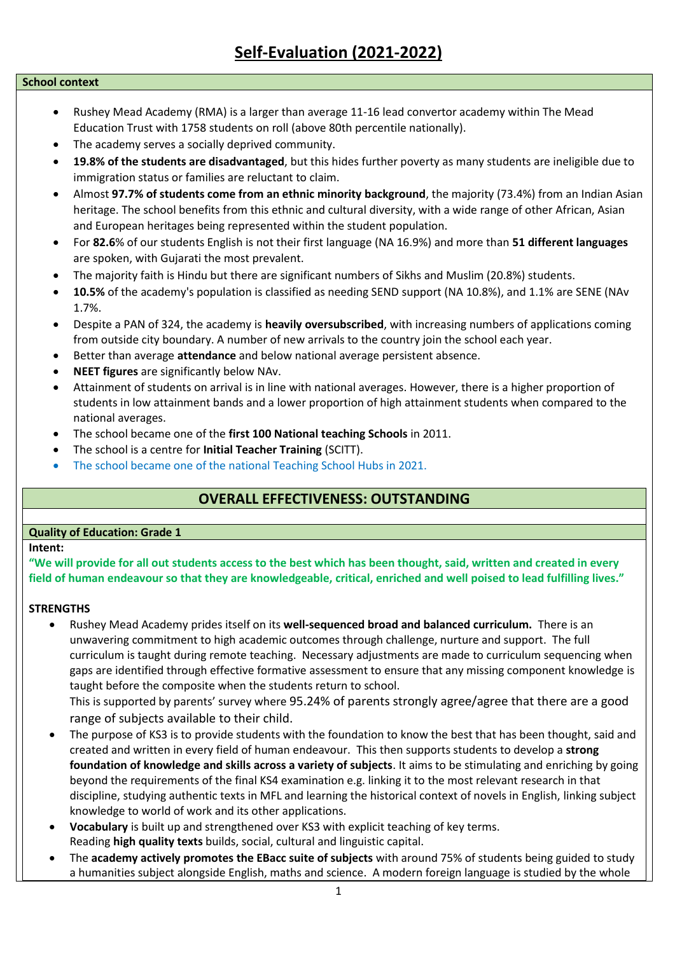# **Self-Evaluation (2021-2022)**

### **School context**

- Rushey Mead Academy (RMA) is a larger than average 11-16 lead convertor academy within The Mead Education Trust with 1758 students on roll (above 80th percentile nationally).
- The academy serves a socially deprived community.
- **19.8% of the students are disadvantaged**, but this hides further poverty as many students are ineligible due to immigration status or families are reluctant to claim.
- Almost **97.7% of students come from an ethnic minority background**, the majority (73.4%) from an Indian Asian heritage. The school benefits from this ethnic and cultural diversity, with a wide range of other African, Asian and European heritages being represented within the student population.
- For **82.6**% of our students English is not their first language (NA 16.9%) and more than **51 different languages** are spoken, with Gujarati the most prevalent.
- The majority faith is Hindu but there are significant numbers of Sikhs and Muslim (20.8%) students.
- **10.5%** of the academy's population is classified as needing SEND support (NA 10.8%), and 1.1% are SENE (NAv 1.7%.
- Despite a PAN of 324, the academy is **heavily oversubscribed**, with increasing numbers of applications coming from outside city boundary. A number of new arrivals to the country join the school each year.
- Better than average **attendance** and below national average persistent absence.
- **NEET figures** are significantly below NAv.
- Attainment of students on arrival is in line with national averages. However, there is a higher proportion of students in low attainment bands and a lower proportion of high attainment students when compared to the national averages.
- The school became one of the **first 100 National teaching Schools** in 2011.
- The school is a centre for **Initial Teacher Training** (SCITT).
- The school became one of the national Teaching School Hubs in 2021.

# **OVERALL EFFECTIVENESS: OUTSTANDING**

### **Quality of Education: Grade 1**

#### **Intent:**

**"We will provide for all out students access to the best which has been thought, said, written and created in every field of human endeavour so that they are knowledgeable, critical, enriched and well poised to lead fulfilling lives."**

#### **STRENGTHS**

• Rushey Mead Academy prides itself on its **well-sequenced broad and balanced curriculum.** There is an unwavering commitment to high academic outcomes through challenge, nurture and support. The full curriculum is taught during remote teaching. Necessary adjustments are made to curriculum sequencing when gaps are identified through effective formative assessment to ensure that any missing component knowledge is taught before the composite when the students return to school.

This is supported by parents' survey where 95.24% of parents strongly agree/agree that there are a good range of subjects available to their child.

- The purpose of KS3 is to provide students with the foundation to know the best that has been thought, said and created and written in every field of human endeavour. This then supports students to develop a **strong foundation of knowledge and skills across a variety of subjects**. It aims to be stimulating and enriching by going beyond the requirements of the final KS4 examination e.g. linking it to the most relevant research in that discipline, studying authentic texts in MFL and learning the historical context of novels in English, linking subject knowledge to world of work and its other applications.
- **Vocabulary** is built up and strengthened over KS3 with explicit teaching of key terms. Reading **high quality texts** builds, social, cultural and linguistic capital.
- The **academy actively promotes the EBacc suite of subjects** with around 75% of students being guided to study a humanities subject alongside English, maths and science. A modern foreign language is studied by the whole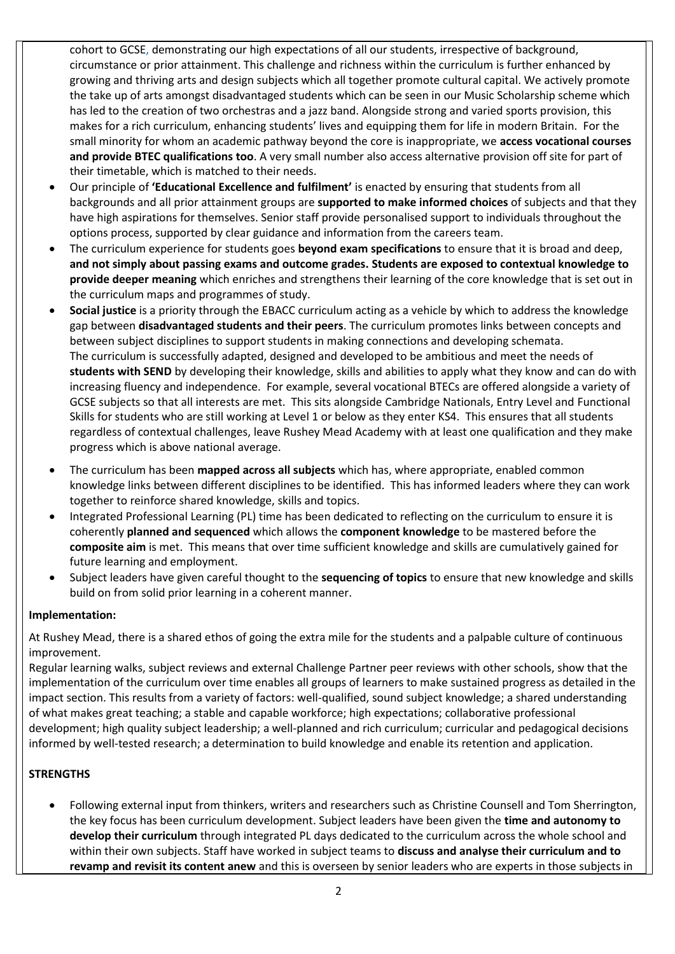cohort to GCSE, demonstrating our high expectations of all our students, irrespective of background, circumstance or prior attainment. This challenge and richness within the curriculum is further enhanced by growing and thriving arts and design subjects which all together promote cultural capital. We actively promote the take up of arts amongst disadvantaged students which can be seen in our Music Scholarship scheme which has led to the creation of two orchestras and a jazz band. Alongside strong and varied sports provision, this makes for a rich curriculum, enhancing students' lives and equipping them for life in modern Britain. For the small minority for whom an academic pathway beyond the core is inappropriate, we **access vocational courses and provide BTEC qualifications too**. A very small number also access alternative provision off site for part of their timetable, which is matched to their needs.

- Our principle of **'Educational Excellence and fulfilment'** is enacted by ensuring that students from all backgrounds and all prior attainment groups are **supported to make informed choices** of subjects and that they have high aspirations for themselves. Senior staff provide personalised support to individuals throughout the options process, supported by clear guidance and information from the careers team.
- The curriculum experience for students goes **beyond exam specifications** to ensure that it is broad and deep, **and not simply about passing exams and outcome grades. Students are exposed to contextual knowledge to provide deeper meaning** which enriches and strengthens their learning of the core knowledge that is set out in the curriculum maps and programmes of study.
- **Social justice** is a priority through the EBACC curriculum acting as a vehicle by which to address the knowledge gap between **disadvantaged students and their peers**. The curriculum promotes links between concepts and between subject disciplines to support students in making connections and developing schemata. The curriculum is successfully adapted, designed and developed to be ambitious and meet the needs of **students with SEND** by developing their knowledge, skills and abilities to apply what they know and can do with increasing fluency and independence. For example, several vocational BTECs are offered alongside a variety of GCSE subjects so that all interests are met. This sits alongside Cambridge Nationals, Entry Level and Functional Skills for students who are still working at Level 1 or below as they enter KS4. This ensures that all students regardless of contextual challenges, leave Rushey Mead Academy with at least one qualification and they make progress which is above national average.
- The curriculum has been **mapped across all subjects** which has, where appropriate, enabled common knowledge links between different disciplines to be identified. This has informed leaders where they can work together to reinforce shared knowledge, skills and topics.
- Integrated Professional Learning (PL) time has been dedicated to reflecting on the curriculum to ensure it is coherently **planned and sequenced** which allows the **component knowledge** to be mastered before the **composite aim** is met. This means that over time sufficient knowledge and skills are cumulatively gained for future learning and employment.
- Subject leaders have given careful thought to the **sequencing of topics** to ensure that new knowledge and skills build on from solid prior learning in a coherent manner.

### **Implementation:**

At Rushey Mead, there is a shared ethos of going the extra mile for the students and a palpable culture of continuous improvement.

Regular learning walks, subject reviews and external Challenge Partner peer reviews with other schools, show that the implementation of the curriculum over time enables all groups of learners to make sustained progress as detailed in the impact section. This results from a variety of factors: well-qualified, sound subject knowledge; a shared understanding of what makes great teaching; a stable and capable workforce; high expectations; collaborative professional development; high quality subject leadership; a well-planned and rich curriculum; curricular and pedagogical decisions informed by well-tested research; a determination to build knowledge and enable its retention and application.

## **STRENGTHS**

• Following external input from thinkers, writers and researchers such as Christine Counsell and Tom Sherrington, the key focus has been curriculum development. Subject leaders have been given the **time and autonomy to develop their curriculum** through integrated PL days dedicated to the curriculum across the whole school and within their own subjects. Staff have worked in subject teams to **discuss and analyse their curriculum and to revamp and revisit its content anew** and this is overseen by senior leaders who are experts in those subjects in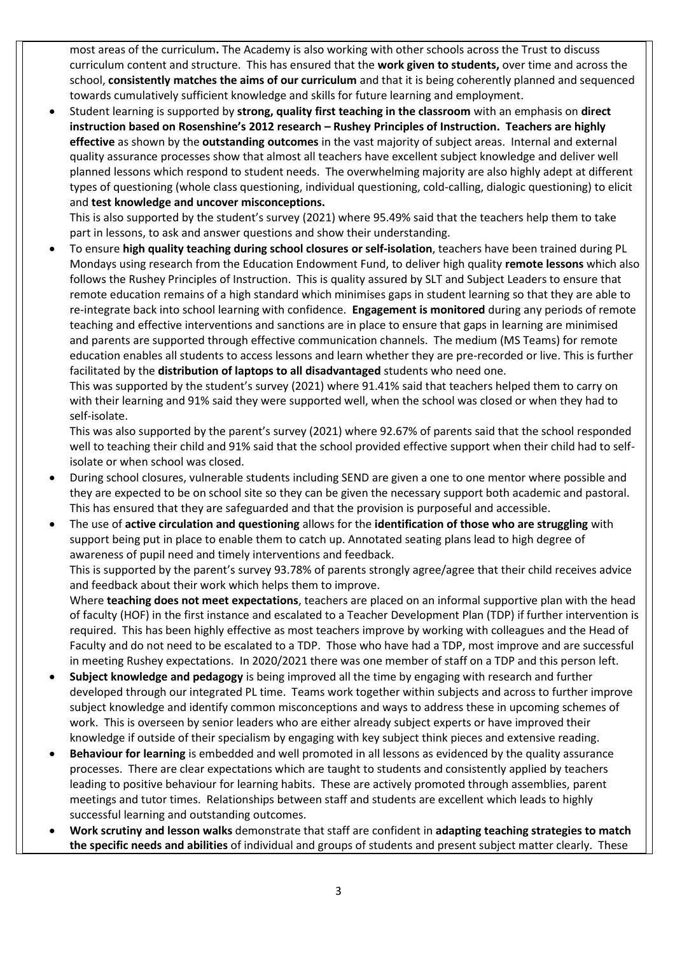most areas of the curriculum**.** The Academy is also working with other schools across the Trust to discuss curriculum content and structure. This has ensured that the **work given to students,** over time and across the school, **consistently matches the aims of our curriculum** and that it is being coherently planned and sequenced towards cumulatively sufficient knowledge and skills for future learning and employment.

• Student learning is supported by **strong, quality first teaching in the classroom** with an emphasis on **direct instruction based on Rosenshine's 2012 research – Rushey Principles of Instruction. Teachers are highly effective** as shown by the **outstanding outcomes** in the vast majority of subject areas. Internal and external quality assurance processes show that almost all teachers have excellent subject knowledge and deliver well planned lessons which respond to student needs. The overwhelming majority are also highly adept at different types of questioning (whole class questioning, individual questioning, cold-calling, dialogic questioning) to elicit and **test knowledge and uncover misconceptions.**

This is also supported by the student's survey (2021) where 95.49% said that the teachers help them to take part in lessons, to ask and answer questions and show their understanding.

• To ensure **high quality teaching during school closures or self-isolation**, teachers have been trained during PL Mondays using research from the Education Endowment Fund, to deliver high quality **remote lessons** which also follows the Rushey Principles of Instruction. This is quality assured by SLT and Subject Leaders to ensure that remote education remains of a high standard which minimises gaps in student learning so that they are able to re-integrate back into school learning with confidence. **Engagement is monitored** during any periods of remote teaching and effective interventions and sanctions are in place to ensure that gaps in learning are minimised and parents are supported through effective communication channels. The medium (MS Teams) for remote education enables all students to access lessons and learn whether they are pre-recorded or live. This is further facilitated by the **distribution of laptops to all disadvantaged** students who need one.

This was supported by the student's survey (2021) where 91.41% said that teachers helped them to carry on with their learning and 91% said they were supported well, when the school was closed or when they had to self-isolate.

This was also supported by the parent's survey (2021) where 92.67% of parents said that the school responded well to teaching their child and 91% said that the school provided effective support when their child had to selfisolate or when school was closed.

- During school closures, vulnerable students including SEND are given a one to one mentor where possible and they are expected to be on school site so they can be given the necessary support both academic and pastoral. This has ensured that they are safeguarded and that the provision is purposeful and accessible.
- The use of **active circulation and questioning** allows for the **identification of those who are struggling** with support being put in place to enable them to catch up. Annotated seating plans lead to high degree of awareness of pupil need and timely interventions and feedback.

This is supported by the parent's survey 93.78% of parents strongly agree/agree that their child receives advice and feedback about their work which helps them to improve.

Where **teaching does not meet expectations**, teachers are placed on an informal supportive plan with the head of faculty (HOF) in the first instance and escalated to a Teacher Development Plan (TDP) if further intervention is required. This has been highly effective as most teachers improve by working with colleagues and the Head of Faculty and do not need to be escalated to a TDP. Those who have had a TDP, most improve and are successful in meeting Rushey expectations. In 2020/2021 there was one member of staff on a TDP and this person left.

- **Subject knowledge and pedagogy** is being improved all the time by engaging with research and further developed through our integrated PL time. Teams work together within subjects and across to further improve subject knowledge and identify common misconceptions and ways to address these in upcoming schemes of work. This is overseen by senior leaders who are either already subject experts or have improved their knowledge if outside of their specialism by engaging with key subject think pieces and extensive reading.
- **Behaviour for learning** is embedded and well promoted in all lessons as evidenced by the quality assurance processes. There are clear expectations which are taught to students and consistently applied by teachers leading to positive behaviour for learning habits. These are actively promoted through assemblies, parent meetings and tutor times. Relationships between staff and students are excellent which leads to highly successful learning and outstanding outcomes.
- **Work scrutiny and lesson walks** demonstrate that staff are confident in **adapting teaching strategies to match the specific needs and abilities** of individual and groups of students and present subject matter clearly. These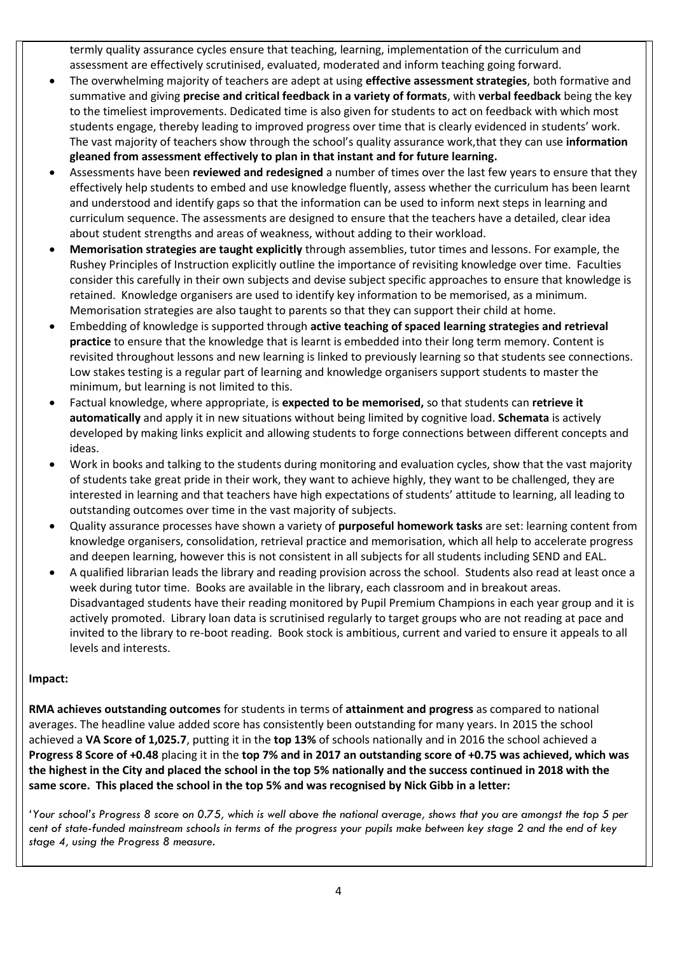termly quality assurance cycles ensure that teaching, learning, implementation of the curriculum and assessment are effectively scrutinised, evaluated, moderated and inform teaching going forward.

- The overwhelming majority of teachers are adept at using **effective assessment strategies**, both formative and summative and giving **precise and critical feedback in a variety of formats**, with **verbal feedback** being the key to the timeliest improvements. Dedicated time is also given for students to act on feedback with which most students engage, thereby leading to improved progress over time that is clearly evidenced in students' work. The vast majority of teachers show through the school's quality assurance work,that they can use **information gleaned from assessment effectively to plan in that instant and for future learning.**
- Assessments have been **reviewed and redesigned** a number of times over the last few years to ensure that they effectively help students to embed and use knowledge fluently, assess whether the curriculum has been learnt and understood and identify gaps so that the information can be used to inform next steps in learning and curriculum sequence. The assessments are designed to ensure that the teachers have a detailed, clear idea about student strengths and areas of weakness, without adding to their workload.
- **Memorisation strategies are taught explicitly** through assemblies, tutor times and lessons. For example, the Rushey Principles of Instruction explicitly outline the importance of revisiting knowledge over time. Faculties consider this carefully in their own subjects and devise subject specific approaches to ensure that knowledge is retained. Knowledge organisers are used to identify key information to be memorised, as a minimum. Memorisation strategies are also taught to parents so that they can support their child at home.
- Embedding of knowledge is supported through **active teaching of spaced learning strategies and retrieval practice** to ensure that the knowledge that is learnt is embedded into their long term memory. Content is revisited throughout lessons and new learning is linked to previously learning so that students see connections. Low stakes testing is a regular part of learning and knowledge organisers support students to master the minimum, but learning is not limited to this.
- Factual knowledge, where appropriate, is **expected to be memorised,** so that students can **retrieve it automatically** and apply it in new situations without being limited by cognitive load. **Schemata** is actively developed by making links explicit and allowing students to forge connections between different concepts and ideas.
- Work in books and talking to the students during monitoring and evaluation cycles, show that the vast majority of students take great pride in their work, they want to achieve highly, they want to be challenged, they are interested in learning and that teachers have high expectations of students' attitude to learning, all leading to outstanding outcomes over time in the vast majority of subjects.
- Quality assurance processes have shown a variety of **purposeful homework tasks** are set: learning content from knowledge organisers, consolidation, retrieval practice and memorisation, which all help to accelerate progress and deepen learning, however this is not consistent in all subjects for all students including SEND and EAL.
- A qualified librarian leads the library and reading provision across the school. Students also read at least once a week during tutor time. Books are available in the library, each classroom and in breakout areas. Disadvantaged students have their reading monitored by Pupil Premium Champions in each year group and it is actively promoted. Library loan data is scrutinised regularly to target groups who are not reading at pace and invited to the library to re-boot reading. Book stock is ambitious, current and varied to ensure it appeals to all levels and interests.

### **Impact:**

**RMA achieves outstanding outcomes** for students in terms of **attainment and progress** as compared to national averages. The headline value added score has consistently been outstanding for many years. In 2015 the school achieved a **VA Score of 1,025.7**, putting it in the **top 13%** of schools nationally and in 2016 the school achieved a **Progress 8 Score of +0.48** placing it in the **top 7% and in 2017 an outstanding score of +0.75 was achieved, which was the highest in the City and placed the school in the top 5% nationally and the success continued in 2018 with the same score. This placed the school in the top 5% and was recognised by Nick Gibb in a letter:**

*'Your school's Progress 8 score on 0.75, which is well above the national average, shows that you are amongst the top 5 per cent of state-funded mainstream schools in terms of the progress your pupils make between key stage 2 and the end of key stage 4, using the Progress 8 measure.*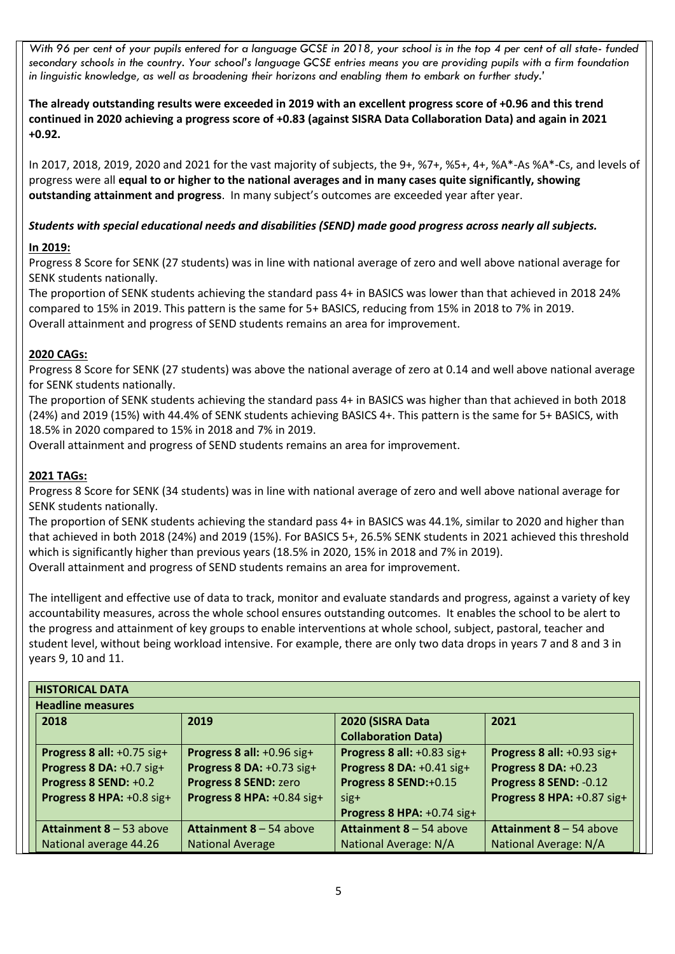*With 96 per cent of your pupils entered for a language GCSE in 2018, your school is in the top 4 per cent of all state- funded secondary schools in the country. Your school's language GCSE entries means you are providing pupils with a firm foundation in linguistic knowledge, as well as broadening their horizons and enabling them to embark on further study.'*

**The already outstanding results were exceeded in 2019 with an excellent progress score of +0.96 and this trend continued in 2020 achieving a progress score of +0.83 (against SISRA Data Collaboration Data) and again in 2021 +0.92.**

In 2017, 2018, 2019, 2020 and 2021 for the vast majority of subjects, the 9+, %7+, %5+, 4+, %A\*-As %A\*-Cs, and levels of progress were all **equal to or higher to the national averages and in many cases quite significantly, showing outstanding attainment and progress**. In many subject's outcomes are exceeded year after year.

# *Students with special educational needs and disabilities (SEND) made good progress across nearly all subjects.*

## **In 2019:**

Progress 8 Score for SENK (27 students) was in line with national average of zero and well above national average for SENK students nationally.

The proportion of SENK students achieving the standard pass 4+ in BASICS was lower than that achieved in 2018 24% compared to 15% in 2019. This pattern is the same for 5+ BASICS, reducing from 15% in 2018 to 7% in 2019. Overall attainment and progress of SEND students remains an area for improvement.

## **2020 CAGs:**

Progress 8 Score for SENK (27 students) was above the national average of zero at 0.14 and well above national average for SENK students nationally.

The proportion of SENK students achieving the standard pass 4+ in BASICS was higher than that achieved in both 2018 (24%) and 2019 (15%) with 44.4% of SENK students achieving BASICS 4+. This pattern is the same for 5+ BASICS, with 18.5% in 2020 compared to 15% in 2018 and 7% in 2019.

Overall attainment and progress of SEND students remains an area for improvement.

### **2021 TAGs:**

Progress 8 Score for SENK (34 students) was in line with national average of zero and well above national average for SENK students nationally.

The proportion of SENK students achieving the standard pass 4+ in BASICS was 44.1%, similar to 2020 and higher than that achieved in both 2018 (24%) and 2019 (15%). For BASICS 5+, 26.5% SENK students in 2021 achieved this threshold which is significantly higher than previous years (18.5% in 2020, 15% in 2018 and 7% in 2019). Overall attainment and progress of SEND students remains an area for improvement.

The intelligent and effective use of data to track, monitor and evaluate standards and progress, against a variety of key accountability measures, across the whole school ensures outstanding outcomes. It enables the school to be alert to the progress and attainment of key groups to enable interventions at whole school, subject, pastoral, teacher and student level, without being workload intensive. For example, there are only two data drops in years 7 and 8 and 3 in years 9, 10 and 11.

| <b>HISTORICAL DATA</b>         |                                |                                |                             |  |  |
|--------------------------------|--------------------------------|--------------------------------|-----------------------------|--|--|
| <b>Headline measures</b>       |                                |                                |                             |  |  |
| 2018                           | 2019                           | 2020 (SISRA Data               | 2021                        |  |  |
|                                |                                | <b>Collaboration Data)</b>     |                             |  |  |
| Progress 8 all: +0.75 sig+     | Progress 8 all: +0.96 sig+     | Progress 8 all: +0.83 sig+     | Progress 8 all: +0.93 sig+  |  |  |
| Progress 8 DA: +0.7 sig+       | Progress 8 DA: +0.73 sig+      | Progress 8 DA: +0.41 sig+      | <b>Progress 8 DA: +0.23</b> |  |  |
| Progress 8 SEND: +0.2          | Progress 8 SEND: zero          | Progress 8 SEND:+0.15          | Progress 8 SEND: -0.12      |  |  |
| Progress 8 HPA: +0.8 sig+      | Progress 8 HPA: +0.84 sig+     | $sig+$                         | Progress 8 HPA: +0.87 sig+  |  |  |
|                                |                                | Progress 8 HPA: +0.74 sig+     |                             |  |  |
| <b>Attainment 8 – 53 above</b> | <b>Attainment 8 – 54 above</b> | <b>Attainment 8 – 54 above</b> | Attainment 8 - 54 above     |  |  |
| National average 44.26         | <b>National Average</b>        | National Average: N/A          | National Average: N/A       |  |  |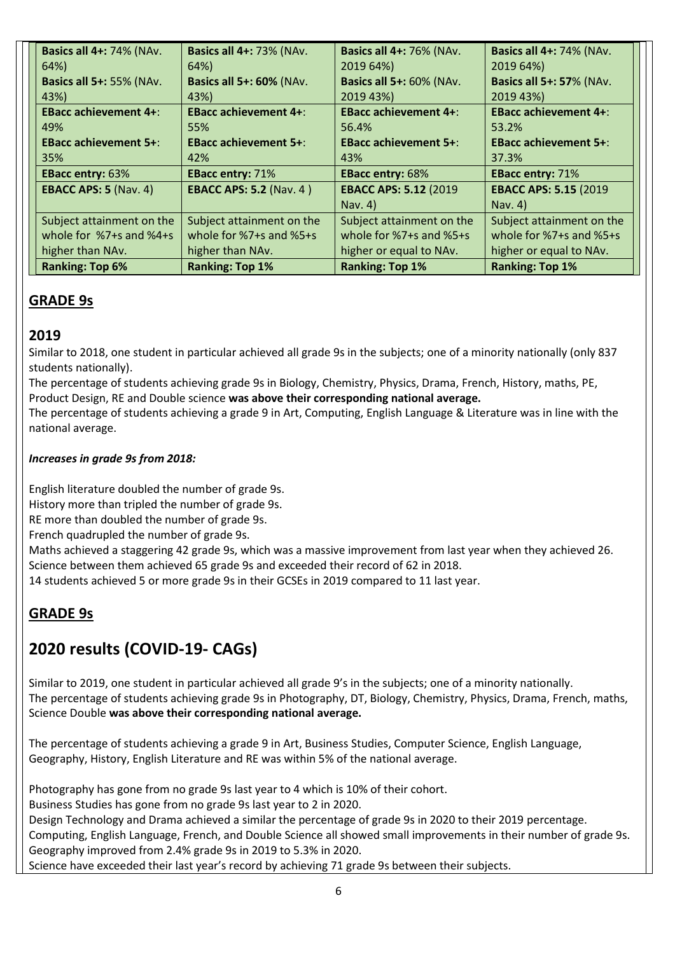| <b>Basics all 4+: 74% (NAv.</b> | <b>Basics all 4+: 73% (NAv.</b> | <b>Basics all 4+: 76% (NAv.</b> | <b>Basics all 4+: 74% (NAv.</b> |
|---------------------------------|---------------------------------|---------------------------------|---------------------------------|
| 64%)                            | 64%)                            | 2019 64%)                       | 2019 64%)                       |
| <b>Basics all 5+: 55% (NAv.</b> | <b>Basics all 5+: 60% (NAv.</b> | <b>Basics all 5+: 60% (NAv.</b> | <b>Basics all 5+: 57% (NAv.</b> |
| 43%)                            | 43%)                            | 2019 43%)                       | 2019 43%)                       |
| <b>EBacc achievement 4+:</b>    | <b>EBacc achievement 4+:</b>    | <b>EBacc achievement 4+:</b>    | <b>EBacc achievement 4+:</b>    |
| 49%                             | 55%                             | 56.4%                           | 53.2%                           |
| <b>EBacc achievement 5+:</b>    | <b>EBacc achievement 5+:</b>    | <b>EBacc achievement 5+:</b>    | <b>EBacc achievement 5+:</b>    |
| 35%                             | 42%                             | 43%                             | 37.3%                           |
| <b>EBacc entry: 63%</b>         | <b>EBacc entry: 71%</b>         | <b>EBacc entry: 68%</b>         | <b>EBacc entry: 71%</b>         |
| <b>EBACC APS: 5 (Nav. 4)</b>    | <b>EBACC APS: 5.2 (Nav. 4)</b>  | <b>EBACC APS: 5.12 (2019)</b>   | <b>EBACC APS: 5.15 (2019)</b>   |
|                                 |                                 | Nav. 4)                         | Nav. 4)                         |
| Subject attainment on the       | Subject attainment on the       | Subject attainment on the       | Subject attainment on the       |
| whole for %7+s and %4+s         | whole for $%7+$ s and $%5+$ s   | whole for $%7+$ s and $%5+$ s   | whole for $%7+$ s and $%5+$ s   |
| higher than NAv.                | higher than NAv.                | higher or equal to NAv.         | higher or equal to NAv.         |
| <b>Ranking: Top 6%</b>          | <b>Ranking: Top 1%</b>          | <b>Ranking: Top 1%</b>          | <b>Ranking: Top 1%</b>          |

# **GRADE 9s**

# **2019**

Similar to 2018, one student in particular achieved all grade 9s in the subjects; one of a minority nationally (only 837 students nationally).

The percentage of students achieving grade 9s in Biology, Chemistry, Physics, Drama, French, History, maths, PE, Product Design, RE and Double science **was above their corresponding national average.**

The percentage of students achieving a grade 9 in Art, Computing, English Language & Literature was in line with the national average.

# *Increases in grade 9s from 2018:*

English literature doubled the number of grade 9s. History more than tripled the number of grade 9s.

RE more than doubled the number of grade 9s.

French quadrupled the number of grade 9s.

Maths achieved a staggering 42 grade 9s, which was a massive improvement from last year when they achieved 26. Science between them achieved 65 grade 9s and exceeded their record of 62 in 2018.

14 students achieved 5 or more grade 9s in their GCSEs in 2019 compared to 11 last year.

# **GRADE 9s**

# **2020 results (COVID-19- CAGs)**

Similar to 2019, one student in particular achieved all grade 9's in the subjects; one of a minority nationally. The percentage of students achieving grade 9s in Photography, DT, Biology, Chemistry, Physics, Drama, French, maths, Science Double **was above their corresponding national average.**

The percentage of students achieving a grade 9 in Art, Business Studies, Computer Science, English Language, Geography, History, English Literature and RE was within 5% of the national average.

Photography has gone from no grade 9s last year to 4 which is 10% of their cohort.

Business Studies has gone from no grade 9s last year to 2 in 2020.

Design Technology and Drama achieved a similar the percentage of grade 9s in 2020 to their 2019 percentage. Computing, English Language, French, and Double Science all showed small improvements in their number of grade 9s. Geography improved from 2.4% grade 9s in 2019 to 5.3% in 2020.

Science have exceeded their last year's record by achieving 71 grade 9s between their subjects.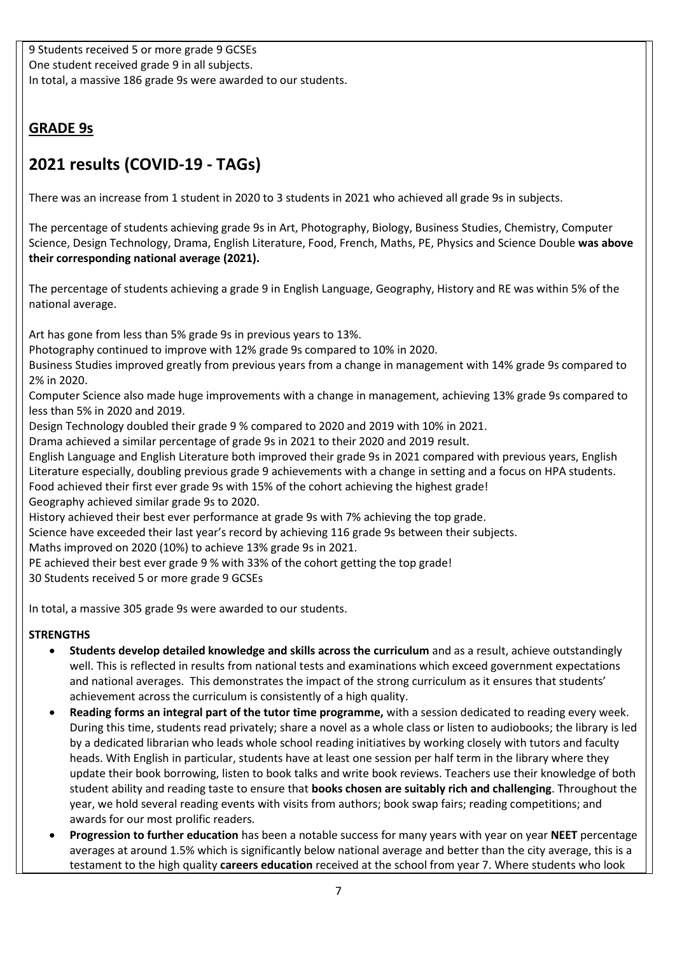9 Students received 5 or more grade 9 GCSEs One student received grade 9 in all subjects. In total, a massive 186 grade 9s were awarded to our students.

# **GRADE 9s**

# **2021 results (COVID-19 - TAGs)**

There was an increase from 1 student in 2020 to 3 students in 2021 who achieved all grade 9s in subjects.

The percentage of students achieving grade 9s in Art, Photography, Biology, Business Studies, Chemistry, Computer Science, Design Technology, Drama, English Literature, Food, French, Maths, PE, Physics and Science Double **was above their corresponding national average (2021).**

The percentage of students achieving a grade 9 in English Language, Geography, History and RE was within 5% of the national average.

Art has gone from less than 5% grade 9s in previous years to 13%.

Photography continued to improve with 12% grade 9s compared to 10% in 2020.

Business Studies improved greatly from previous years from a change in management with 14% grade 9s compared to 2% in 2020.

Computer Science also made huge improvements with a change in management, achieving 13% grade 9s compared to less than 5% in 2020 and 2019.

Design Technology doubled their grade 9 % compared to 2020 and 2019 with 10% in 2021.

Drama achieved a similar percentage of grade 9s in 2021 to their 2020 and 2019 result.

English Language and English Literature both improved their grade 9s in 2021 compared with previous years, English Literature especially, doubling previous grade 9 achievements with a change in setting and a focus on HPA students.

Food achieved their first ever grade 9s with 15% of the cohort achieving the highest grade!

Geography achieved similar grade 9s to 2020.

History achieved their best ever performance at grade 9s with 7% achieving the top grade.

Science have exceeded their last year's record by achieving 116 grade 9s between their subjects.

Maths improved on 2020 (10%) to achieve 13% grade 9s in 2021.

PE achieved their best ever grade 9 % with 33% of the cohort getting the top grade!

30 Students received 5 or more grade 9 GCSEs

In total, a massive 305 grade 9s were awarded to our students.

- **Students develop detailed knowledge and skills across the curriculum** and as a result, achieve outstandingly well. This is reflected in results from national tests and examinations which exceed government expectations and national averages. This demonstrates the impact of the strong curriculum as it ensures that students' achievement across the curriculum is consistently of a high quality.
- **Reading forms an integral part of the tutor time programme,** with a session dedicated to reading every week. During this time, students read privately; share a novel as a whole class or listen to audiobooks; the library is led by a dedicated librarian who leads whole school reading initiatives by working closely with tutors and faculty heads. With English in particular, students have at least one session per half term in the library where they update their book borrowing, listen to book talks and write book reviews. Teachers use their knowledge of both student ability and reading taste to ensure that **books chosen are suitably rich and challenging**. Throughout the year, we hold several reading events with visits from authors; book swap fairs; reading competitions; and awards for our most prolific readers*.*
- **Progression to further education** has been a notable success for many years with year on year **NEET** percentage averages at around 1.5% which is significantly below national average and better than the city average, this is a testament to the high quality **careers education** received at the school from year 7. Where students who look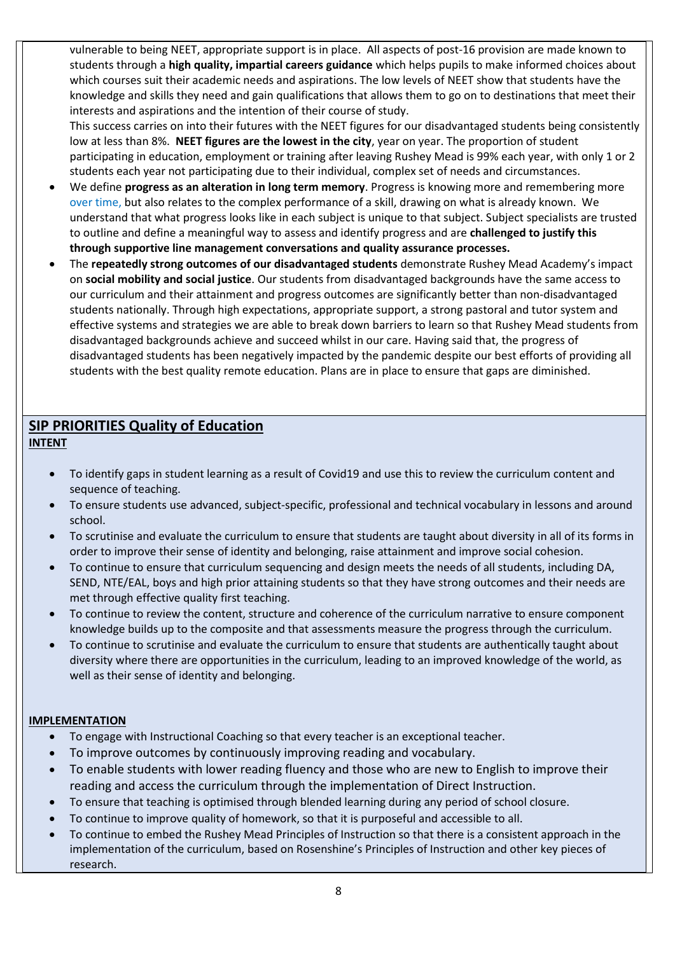vulnerable to being NEET, appropriate support is in place. All aspects of post-16 provision are made known to students through a **high quality, impartial careers guidance** which helps pupils to make informed choices about which courses suit their academic needs and aspirations. The low levels of NEET show that students have the knowledge and skills they need and gain qualifications that allows them to go on to destinations that meet their interests and aspirations and the intention of their course of study.

This success carries on into their futures with the NEET figures for our disadvantaged students being consistently low at less than 8%. **NEET figures are the lowest in the city**, year on year. The proportion of student participating in education, employment or training after leaving Rushey Mead is 99% each year, with only 1 or 2 students each year not participating due to their individual, complex set of needs and circumstances.

- We define **progress as an alteration in long term memory**. Progress is knowing more and remembering more over time, but also relates to the complex performance of a skill, drawing on what is already known. We understand that what progress looks like in each subject is unique to that subject. Subject specialists are trusted to outline and define a meaningful way to assess and identify progress and are **challenged to justify this through supportive line management conversations and quality assurance processes.**
- The **repeatedly strong outcomes of our disadvantaged students** demonstrate Rushey Mead Academy's impact on **social mobility and social justice**. Our students from disadvantaged backgrounds have the same access to our curriculum and their attainment and progress outcomes are significantly better than non-disadvantaged students nationally. Through high expectations, appropriate support, a strong pastoral and tutor system and effective systems and strategies we are able to break down barriers to learn so that Rushey Mead students from disadvantaged backgrounds achieve and succeed whilst in our care. Having said that, the progress of disadvantaged students has been negatively impacted by the pandemic despite our best efforts of providing all students with the best quality remote education. Plans are in place to ensure that gaps are diminished.

# **SIP PRIORITIES Quality of Education INTENT**

- To identify gaps in student learning as a result of Covid19 and use this to review the curriculum content and sequence of teaching.
- To ensure students use advanced, subject-specific, professional and technical vocabulary in lessons and around school.
- To scrutinise and evaluate the curriculum to ensure that students are taught about diversity in all of its forms in order to improve their sense of identity and belonging, raise attainment and improve social cohesion.
- To continue to ensure that curriculum sequencing and design meets the needs of all students, including DA, SEND, NTE/EAL, boys and high prior attaining students so that they have strong outcomes and their needs are met through effective quality first teaching.
- To continue to review the content, structure and coherence of the curriculum narrative to ensure component knowledge builds up to the composite and that assessments measure the progress through the curriculum.
- To continue to scrutinise and evaluate the curriculum to ensure that students are authentically taught about diversity where there are opportunities in the curriculum, leading to an improved knowledge of the world, as well as their sense of identity and belonging.

## **IMPLEMENTATION**

- To engage with Instructional Coaching so that every teacher is an exceptional teacher.
- To improve outcomes by continuously improving reading and vocabulary.
- To enable students with lower reading fluency and those who are new to English to improve their reading and access the curriculum through the implementation of Direct Instruction.
- To ensure that teaching is optimised through blended learning during any period of school closure.
- To continue to improve quality of homework, so that it is purposeful and accessible to all.
- To continue to embed the Rushey Mead Principles of Instruction so that there is a consistent approach in the implementation of the curriculum, based on Rosenshine's Principles of Instruction and other key pieces of research.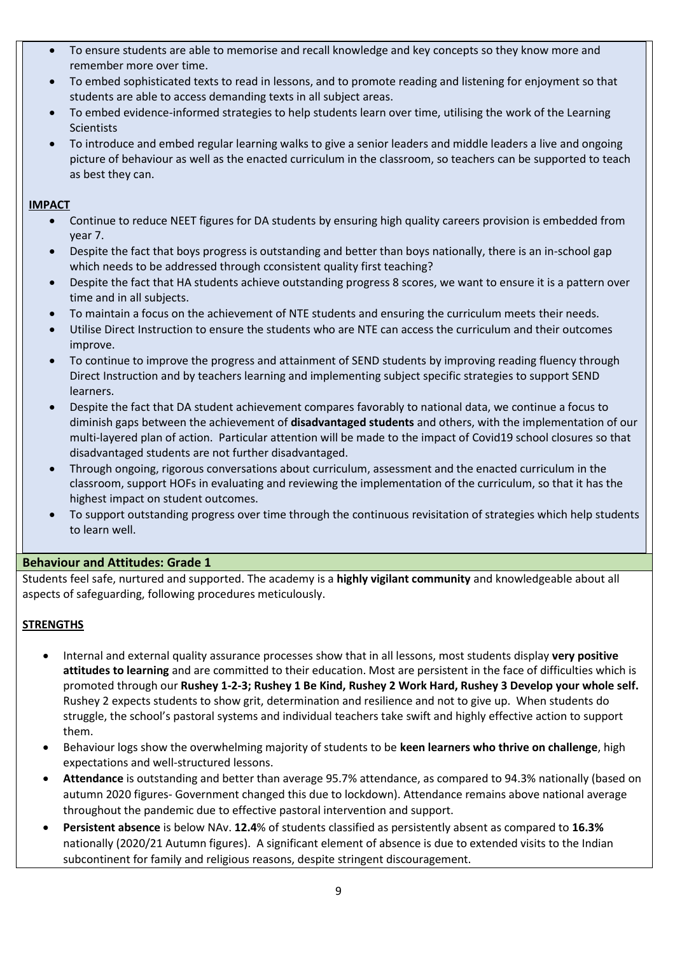- To ensure students are able to memorise and recall knowledge and key concepts so they know more and remember more over time.
- To embed sophisticated texts to read in lessons, and to promote reading and listening for enjoyment so that students are able to access demanding texts in all subject areas.
- To embed evidence-informed strategies to help students learn over time, utilising the work of the Learning Scientists
- To introduce and embed regular learning walks to give a senior leaders and middle leaders a live and ongoing picture of behaviour as well as the enacted curriculum in the classroom, so teachers can be supported to teach as best they can.

### **IMPACT**

- Continue to reduce NEET figures for DA students by ensuring high quality careers provision is embedded from year 7.
- Despite the fact that boys progress is outstanding and better than boys nationally, there is an in-school gap which needs to be addressed through cconsistent quality first teaching?
- Despite the fact that HA students achieve outstanding progress 8 scores, we want to ensure it is a pattern over time and in all subjects.
- To maintain a focus on the achievement of NTE students and ensuring the curriculum meets their needs.
- Utilise Direct Instruction to ensure the students who are NTE can access the curriculum and their outcomes improve.
- To continue to improve the progress and attainment of SEND students by improving reading fluency through Direct Instruction and by teachers learning and implementing subject specific strategies to support SEND learners.
- Despite the fact that DA student achievement compares favorably to national data, we continue a focus to diminish gaps between the achievement of **disadvantaged students** and others, with the implementation of our multi-layered plan of action. Particular attention will be made to the impact of Covid19 school closures so that disadvantaged students are not further disadvantaged.
- Through ongoing, rigorous conversations about curriculum, assessment and the enacted curriculum in the classroom, support HOFs in evaluating and reviewing the implementation of the curriculum, so that it has the highest impact on student outcomes.
- To support outstanding progress over time through the continuous revisitation of strategies which help students to learn well.

### **Behaviour and Attitudes: Grade 1**

Students feel safe, nurtured and supported. The academy is a **highly vigilant community** and knowledgeable about all aspects of safeguarding, following procedures meticulously.

- Internal and external quality assurance processes show that in all lessons, most students display **very positive attitudes to learning** and are committed to their education. Most are persistent in the face of difficulties which is promoted through our **Rushey 1-2-3; Rushey 1 Be Kind, Rushey 2 Work Hard, Rushey 3 Develop your whole self.** Rushey 2 expects students to show grit, determination and resilience and not to give up. When students do struggle, the school's pastoral systems and individual teachers take swift and highly effective action to support them.
- Behaviour logs show the overwhelming majority of students to be **keen learners who thrive on challenge**, high expectations and well-structured lessons.
- **Attendance** is outstanding and better than average 95.7% attendance, as compared to 94.3% nationally (based on autumn 2020 figures- Government changed this due to lockdown). Attendance remains above national average throughout the pandemic due to effective pastoral intervention and support.
- **Persistent absence** is below NAv. **12.4**% of students classified as persistently absent as compared to **16.3%** nationally (2020/21 Autumn figures). A significant element of absence is due to extended visits to the Indian subcontinent for family and religious reasons, despite stringent discouragement.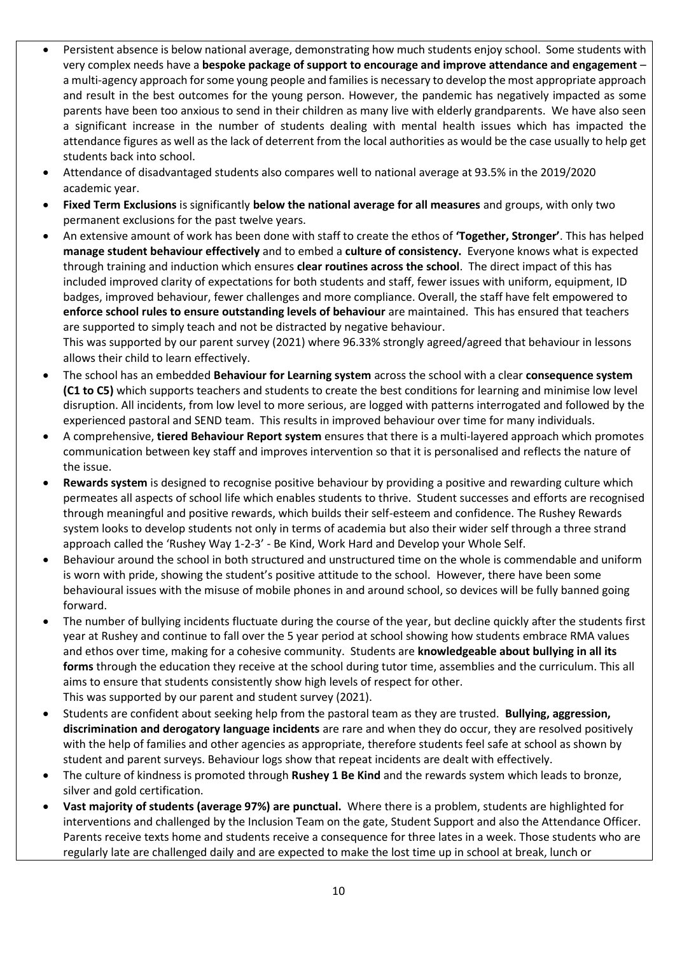- Persistent absence is below national average, demonstrating how much students enjoy school. Some students with very complex needs have a **bespoke package of support to encourage and improve attendance and engagement** – a multi-agency approach for some young people and families is necessary to develop the most appropriate approach and result in the best outcomes for the young person. However, the pandemic has negatively impacted as some parents have been too anxious to send in their children as many live with elderly grandparents. We have also seen a significant increase in the number of students dealing with mental health issues which has impacted the attendance figures as well as the lack of deterrent from the local authorities as would be the case usually to help get students back into school.
- Attendance of disadvantaged students also compares well to national average at 93.5% in the 2019/2020 academic year.
- **Fixed Term Exclusions** is significantly **below the national average for all measures** and groups, with only two permanent exclusions for the past twelve years.
- An extensive amount of work has been done with staff to create the ethos of **'Together, Stronger'**. This has helped **manage student behaviour effectively** and to embed a **culture of consistency.** Everyone knows what is expected through training and induction which ensures **clear routines across the school**. The direct impact of this has included improved clarity of expectations for both students and staff, fewer issues with uniform, equipment, ID badges, improved behaviour, fewer challenges and more compliance. Overall, the staff have felt empowered to **enforce school rules to ensure outstanding levels of behaviour** are maintained. This has ensured that teachers are supported to simply teach and not be distracted by negative behaviour.

This was supported by our parent survey (2021) where 96.33% strongly agreed/agreed that behaviour in lessons allows their child to learn effectively.

- The school has an embedded **Behaviour for Learning system** across the school with a clear **consequence system (C1 to C5)** which supports teachers and students to create the best conditions for learning and minimise low level disruption. All incidents, from low level to more serious, are logged with patterns interrogated and followed by the experienced pastoral and SEND team. This results in improved behaviour over time for many individuals.
- A comprehensive, **tiered Behaviour Report system** ensures that there is a multi-layered approach which promotes communication between key staff and improves intervention so that it is personalised and reflects the nature of the issue.
- **Rewards system** is designed to recognise positive behaviour by providing a positive and rewarding culture which permeates all aspects of school life which enables students to thrive. Student successes and efforts are recognised through meaningful and positive rewards, which builds their self-esteem and confidence. The Rushey Rewards system looks to develop students not only in terms of academia but also their wider self through a three strand approach called the 'Rushey Way 1-2-3' - Be Kind, Work Hard and Develop your Whole Self.
- Behaviour around the school in both structured and unstructured time on the whole is commendable and uniform is worn with pride, showing the student's positive attitude to the school. However, there have been some behavioural issues with the misuse of mobile phones in and around school, so devices will be fully banned going forward.
- The number of bullying incidents fluctuate during the course of the year, but decline quickly after the students first year at Rushey and continue to fall over the 5 year period at school showing how students embrace RMA values and ethos over time, making for a cohesive community. Students are **knowledgeable about bullying in all its forms** through the education they receive at the school during tutor time, assemblies and the curriculum. This all aims to ensure that students consistently show high levels of respect for other. This was supported by our parent and student survey (2021).
- Students are confident about seeking help from the pastoral team as they are trusted. **Bullying, aggression, discrimination and derogatory language incidents** are rare and when they do occur, they are resolved positively with the help of families and other agencies as appropriate, therefore students feel safe at school as shown by student and parent surveys. Behaviour logs show that repeat incidents are dealt with effectively.
- The culture of kindness is promoted through **Rushey 1 Be Kind** and the rewards system which leads to bronze, silver and gold certification.
- **Vast majority of students (average 97%) are punctual.** Where there is a problem, students are highlighted for interventions and challenged by the Inclusion Team on the gate, Student Support and also the Attendance Officer. Parents receive texts home and students receive a consequence for three lates in a week. Those students who are regularly late are challenged daily and are expected to make the lost time up in school at break, lunch or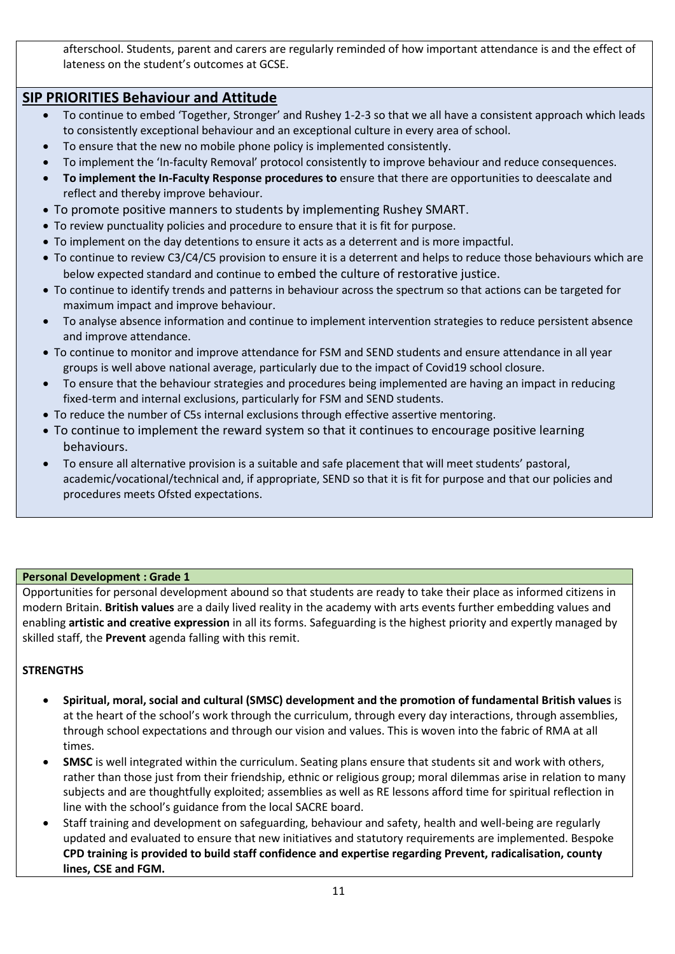afterschool. Students, parent and carers are regularly reminded of how important attendance is and the effect of lateness on the student's outcomes at GCSE.

# **SIP PRIORITIES Behaviour and Attitude**

- To continue to embed 'Together, Stronger' and Rushey 1-2-3 so that we all have a consistent approach which leads to consistently exceptional behaviour and an exceptional culture in every area of school.
- To ensure that the new no mobile phone policy is implemented consistently.
- To implement the 'In-faculty Removal' protocol consistently to improve behaviour and reduce consequences.
- **To implement the In-Faculty Response procedures to** ensure that there are opportunities to deescalate and reflect and thereby improve behaviour.
- To promote positive manners to students by implementing Rushey SMART.
- To review punctuality policies and procedure to ensure that it is fit for purpose.
- To implement on the day detentions to ensure it acts as a deterrent and is more impactful.
- To continue to review C3/C4/C5 provision to ensure it is a deterrent and helps to reduce those behaviours which are below expected standard and continue to embed the culture of restorative justice.
- To continue to identify trends and patterns in behaviour across the spectrum so that actions can be targeted for maximum impact and improve behaviour.
- To analyse absence information and continue to implement intervention strategies to reduce persistent absence and improve attendance.
- To continue to monitor and improve attendance for FSM and SEND students and ensure attendance in all year groups is well above national average, particularly due to the impact of Covid19 school closure.
- To ensure that the behaviour strategies and procedures being implemented are having an impact in reducing fixed-term and internal exclusions, particularly for FSM and SEND students.
- To reduce the number of C5s internal exclusions through effective assertive mentoring.
- To continue to implement the reward system so that it continues to encourage positive learning behaviours.
- To ensure all alternative provision is a suitable and safe placement that will meet students' pastoral, academic/vocational/technical and, if appropriate, SEND so that it is fit for purpose and that our policies and procedures meets Ofsted expectations.

### **Personal Development : Grade 1**

Opportunities for personal development abound so that students are ready to take their place as informed citizens in modern Britain. **British values** are a daily lived reality in the academy with arts events further embedding values and enabling **artistic and creative expression** in all its forms. Safeguarding is the highest priority and expertly managed by skilled staff, the **Prevent** agenda falling with this remit.

- **Spiritual, moral, social and cultural (SMSC) development and the promotion of fundamental British values** is at the heart of the school's work through the curriculum, through every day interactions, through assemblies, through school expectations and through our vision and values. This is woven into the fabric of RMA at all times.
- **SMSC** is well integrated within the curriculum. Seating plans ensure that students sit and work with others, rather than those just from their friendship, ethnic or religious group; moral dilemmas arise in relation to many subjects and are thoughtfully exploited; assemblies as well as RE lessons afford time for spiritual reflection in line with the school's guidance from the local SACRE board.
- Staff training and development on safeguarding, behaviour and safety, health and well-being are regularly updated and evaluated to ensure that new initiatives and statutory requirements are implemented. Bespoke **CPD training is provided to build staff confidence and expertise regarding Prevent, radicalisation, county lines, CSE and FGM.**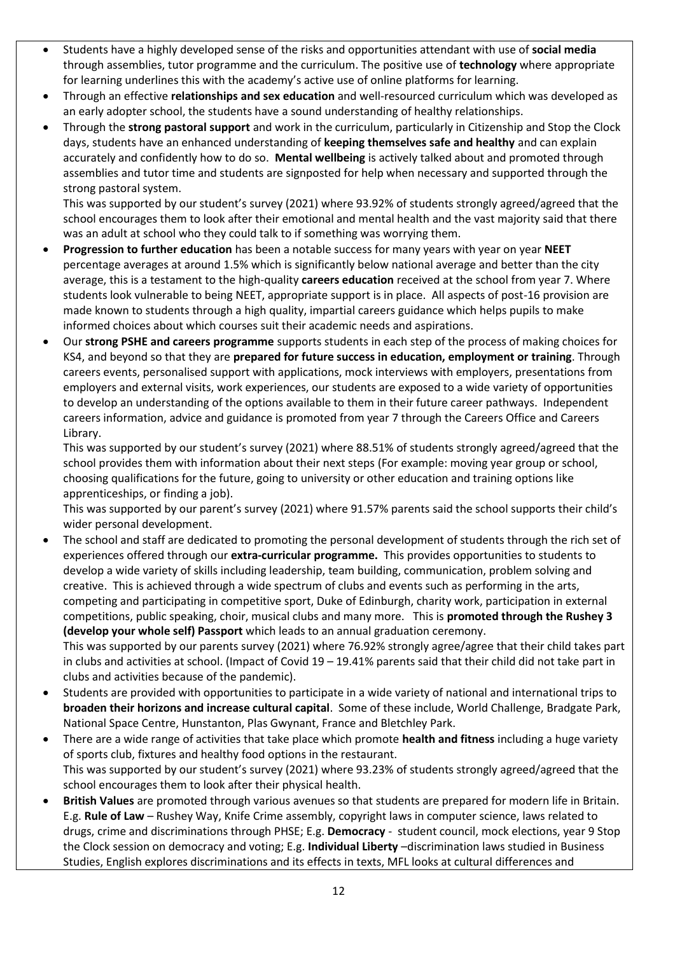- Students have a highly developed sense of the risks and opportunities attendant with use of **social media**  through assemblies, tutor programme and the curriculum. The positive use of **technology** where appropriate for learning underlines this with the academy's active use of online platforms for learning.
- Through an effective **relationships and sex education** and well-resourced curriculum which was developed as an early adopter school, the students have a sound understanding of healthy relationships.
- Through the **strong pastoral support** and work in the curriculum, particularly in Citizenship and Stop the Clock days, students have an enhanced understanding of **keeping themselves safe and healthy** and can explain accurately and confidently how to do so. **Mental wellbeing** is actively talked about and promoted through assemblies and tutor time and students are signposted for help when necessary and supported through the strong pastoral system.

This was supported by our student's survey (2021) where 93.92% of students strongly agreed/agreed that the school encourages them to look after their emotional and mental health and the vast majority said that there was an adult at school who they could talk to if something was worrying them.

- **Progression to further education** has been a notable success for many years with year on year **NEET** percentage averages at around 1.5% which is significantly below national average and better than the city average, this is a testament to the high-quality **careers education** received at the school from year 7. Where students look vulnerable to being NEET, appropriate support is in place. All aspects of post-16 provision are made known to students through a high quality, impartial careers guidance which helps pupils to make informed choices about which courses suit their academic needs and aspirations.
- Our **strong PSHE and careers programme** supports students in each step of the process of making choices for KS4, and beyond so that they are **prepared for future success in education, employment or training**. Through careers events, personalised support with applications, mock interviews with employers, presentations from employers and external visits, work experiences, our students are exposed to a wide variety of opportunities to develop an understanding of the options available to them in their future career pathways. Independent careers information, advice and guidance is promoted from year 7 through the Careers Office and Careers Library.

This was supported by our student's survey (2021) where 88.51% of students strongly agreed/agreed that the school provides them with information about their next steps (For example: moving year group or school, choosing qualifications for the future, going to university or other education and training options like apprenticeships, or finding a job).

This was supported by our parent's survey (2021) where 91.57% parents said the school supports their child's wider personal development.

• The school and staff are dedicated to promoting the personal development of students through the rich set of experiences offered through our **extra-curricular programme.** This provides opportunities to students to develop a wide variety of skills including leadership, team building, communication, problem solving and creative. This is achieved through a wide spectrum of clubs and events such as performing in the arts, competing and participating in competitive sport, Duke of Edinburgh, charity work, participation in external competitions, public speaking, choir, musical clubs and many more. This is **promoted through the Rushey 3 (develop your whole self) Passport** which leads to an annual graduation ceremony.

This was supported by our parents survey (2021) where 76.92% strongly agree/agree that their child takes part in clubs and activities at school. (Impact of Covid 19 – 19.41% parents said that their child did not take part in clubs and activities because of the pandemic).

- Students are provided with opportunities to participate in a wide variety of national and international trips to **broaden their horizons and increase cultural capital**. Some of these include, World Challenge, Bradgate Park, National Space Centre, Hunstanton, Plas Gwynant, France and Bletchley Park.
- There are a wide range of activities that take place which promote **health and fitness** including a huge variety of sports club, fixtures and healthy food options in the restaurant. This was supported by our student's survey (2021) where 93.23% of students strongly agreed/agreed that the school encourages them to look after their physical health.
- **British Values** are promoted through various avenues so that students are prepared for modern life in Britain. E.g. **Rule of Law** – Rushey Way, Knife Crime assembly, copyright laws in computer science, laws related to drugs, crime and discriminations through PHSE; E.g. **Democracy** - student council, mock elections, year 9 Stop the Clock session on democracy and voting; E.g. **Individual Liberty** –discrimination laws studied in Business Studies, English explores discriminations and its effects in texts, MFL looks at cultural differences and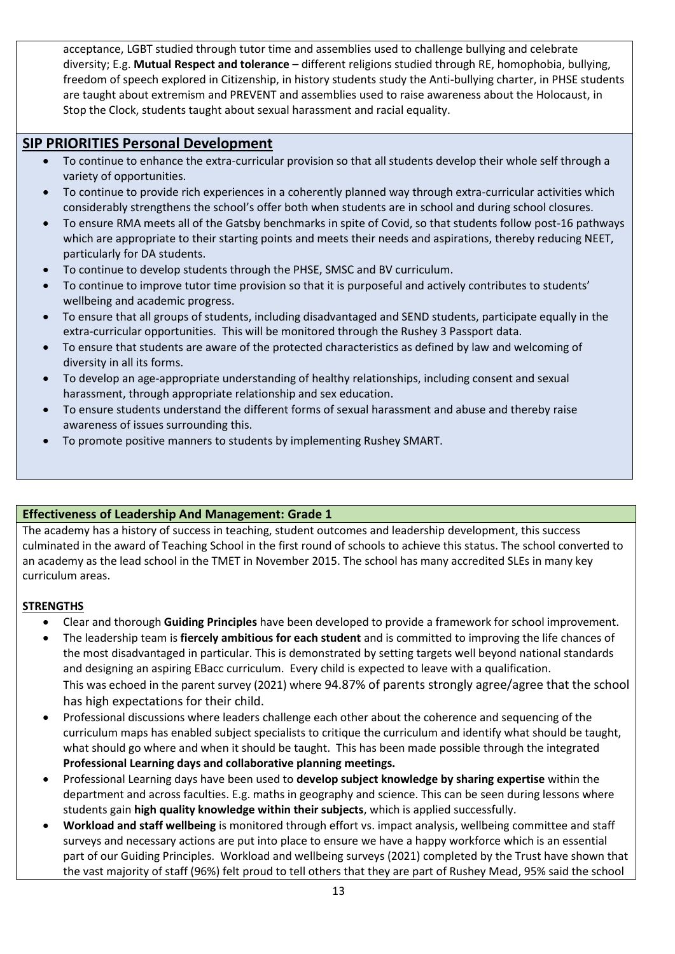acceptance, LGBT studied through tutor time and assemblies used to challenge bullying and celebrate diversity; E.g. **Mutual Respect and tolerance** – different religions studied through RE, homophobia, bullying, freedom of speech explored in Citizenship, in history students study the Anti-bullying charter, in PHSE students are taught about extremism and PREVENT and assemblies used to raise awareness about the Holocaust, in Stop the Clock, students taught about sexual harassment and racial equality.

# **SIP PRIORITIES Personal Development**

- To continue to enhance the extra-curricular provision so that all students develop their whole self through a variety of opportunities.
- To continue to provide rich experiences in a coherently planned way through extra-curricular activities which considerably strengthens the school's offer both when students are in school and during school closures.
- To ensure RMA meets all of the Gatsby benchmarks in spite of Covid, so that students follow post-16 pathways which are appropriate to their starting points and meets their needs and aspirations, thereby reducing NEET, particularly for DA students.
- To continue to develop students through the PHSE, SMSC and BV curriculum.
- To continue to improve tutor time provision so that it is purposeful and actively contributes to students' wellbeing and academic progress.
- To ensure that all groups of students, including disadvantaged and SEND students, participate equally in the extra-curricular opportunities. This will be monitored through the Rushey 3 Passport data.
- To ensure that students are aware of the protected characteristics as defined by law and welcoming of diversity in all its forms.
- To develop an age-appropriate understanding of healthy relationships, including consent and sexual harassment, through appropriate relationship and sex education.
- To ensure students understand the different forms of sexual harassment and abuse and thereby raise awareness of issues surrounding this.
- To promote positive manners to students by implementing Rushey SMART.

### **Effectiveness of Leadership And Management: Grade 1**

The academy has a history of success in teaching, student outcomes and leadership development, this success culminated in the award of Teaching School in the first round of schools to achieve this status. The school converted to an academy as the lead school in the TMET in November 2015. The school has many accredited SLEs in many key curriculum areas.

- Clear and thorough **Guiding Principles** have been developed to provide a framework for school improvement.
- The leadership team is **fiercely ambitious for each student** and is committed to improving the life chances of the most disadvantaged in particular. This is demonstrated by setting targets well beyond national standards and designing an aspiring EBacc curriculum. Every child is expected to leave with a qualification. This was echoed in the parent survey (2021) where 94.87% of parents strongly agree/agree that the school has high expectations for their child.
- Professional discussions where leaders challenge each other about the coherence and sequencing of the curriculum maps has enabled subject specialists to critique the curriculum and identify what should be taught, what should go where and when it should be taught. This has been made possible through the integrated **Professional Learning days and collaborative planning meetings.**
- Professional Learning days have been used to **develop subject knowledge by sharing expertise** within the department and across faculties. E.g. maths in geography and science. This can be seen during lessons where students gain **high quality knowledge within their subjects**, which is applied successfully.
- **Workload and staff wellbeing** is monitored through effort vs. impact analysis, wellbeing committee and staff surveys and necessary actions are put into place to ensure we have a happy workforce which is an essential part of our Guiding Principles. Workload and wellbeing surveys (2021) completed by the Trust have shown that the vast majority of staff (96%) felt proud to tell others that they are part of Rushey Mead, 95% said the school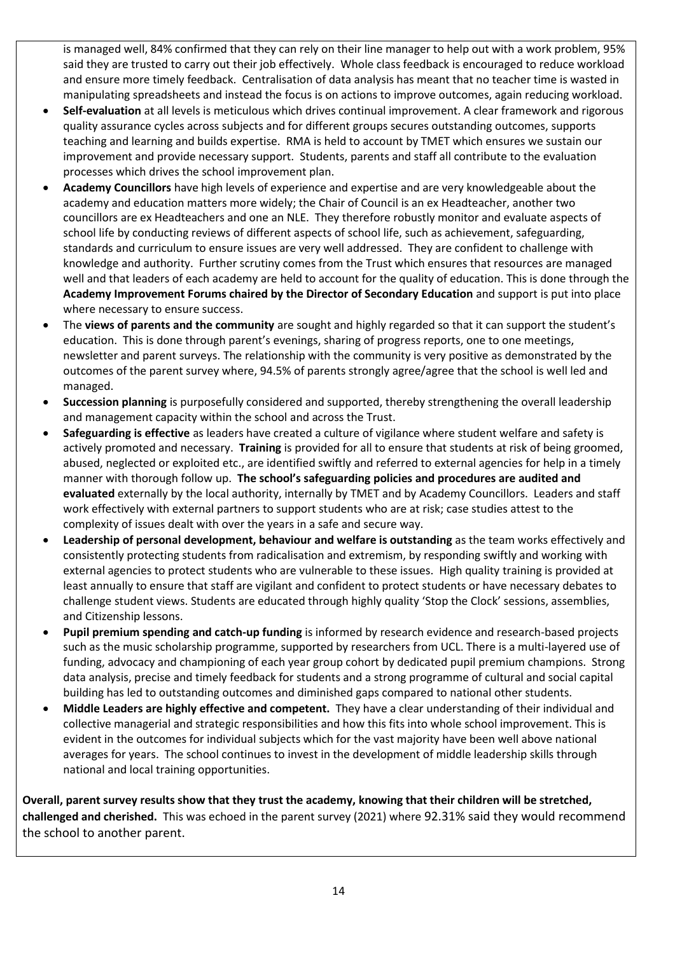is managed well, 84% confirmed that they can rely on their line manager to help out with a work problem, 95% said they are trusted to carry out their job effectively. Whole class feedback is encouraged to reduce workload and ensure more timely feedback. Centralisation of data analysis has meant that no teacher time is wasted in manipulating spreadsheets and instead the focus is on actions to improve outcomes, again reducing workload.

- **Self-evaluation** at all levels is meticulous which drives continual improvement. A clear framework and rigorous quality assurance cycles across subjects and for different groups secures outstanding outcomes, supports teaching and learning and builds expertise. RMA is held to account by TMET which ensures we sustain our improvement and provide necessary support. Students, parents and staff all contribute to the evaluation processes which drives the school improvement plan.
- **Academy Councillors** have high levels of experience and expertise and are very knowledgeable about the academy and education matters more widely; the Chair of Council is an ex Headteacher, another two councillors are ex Headteachers and one an NLE. They therefore robustly monitor and evaluate aspects of school life by conducting reviews of different aspects of school life, such as achievement, safeguarding, standards and curriculum to ensure issues are very well addressed. They are confident to challenge with knowledge and authority. Further scrutiny comes from the Trust which ensures that resources are managed well and that leaders of each academy are held to account for the quality of education. This is done through the **Academy Improvement Forums chaired by the Director of Secondary Education** and support is put into place where necessary to ensure success.
- The **views of parents and the community** are sought and highly regarded so that it can support the student's education. This is done through parent's evenings, sharing of progress reports, one to one meetings, newsletter and parent surveys. The relationship with the community is very positive as demonstrated by the outcomes of the parent survey where, 94.5% of parents strongly agree/agree that the school is well led and managed.
- **Succession planning** is purposefully considered and supported, thereby strengthening the overall leadership and management capacity within the school and across the Trust.
- **Safeguarding is effective** as leaders have created a culture of vigilance where student welfare and safety is actively promoted and necessary. **Training** is provided for all to ensure that students at risk of being groomed, abused, neglected or exploited etc., are identified swiftly and referred to external agencies for help in a timely manner with thorough follow up. **The school's safeguarding policies and procedures are audited and evaluated** externally by the local authority, internally by TMET and by Academy Councillors. Leaders and staff work effectively with external partners to support students who are at risk; case studies attest to the complexity of issues dealt with over the years in a safe and secure way.
- **Leadership of personal development, behaviour and welfare is outstanding** as the team works effectively and consistently protecting students from radicalisation and extremism, by responding swiftly and working with external agencies to protect students who are vulnerable to these issues. High quality training is provided at least annually to ensure that staff are vigilant and confident to protect students or have necessary debates to challenge student views. Students are educated through highly quality 'Stop the Clock' sessions, assemblies, and Citizenship lessons.
- **Pupil premium spending and catch-up funding** is informed by research evidence and research-based projects such as the music scholarship programme, supported by researchers from UCL. There is a multi-layered use of funding, advocacy and championing of each year group cohort by dedicated pupil premium champions. Strong data analysis, precise and timely feedback for students and a strong programme of cultural and social capital building has led to outstanding outcomes and diminished gaps compared to national other students.
- **Middle Leaders are highly effective and competent.** They have a clear understanding of their individual and collective managerial and strategic responsibilities and how this fits into whole school improvement. This is evident in the outcomes for individual subjects which for the vast majority have been well above national averages for years. The school continues to invest in the development of middle leadership skills through national and local training opportunities.

**Overall, parent survey results show that they trust the academy, knowing that their children will be stretched, challenged and cherished.** This was echoed in the parent survey (2021) where 92.31% said they would recommend the school to another parent.